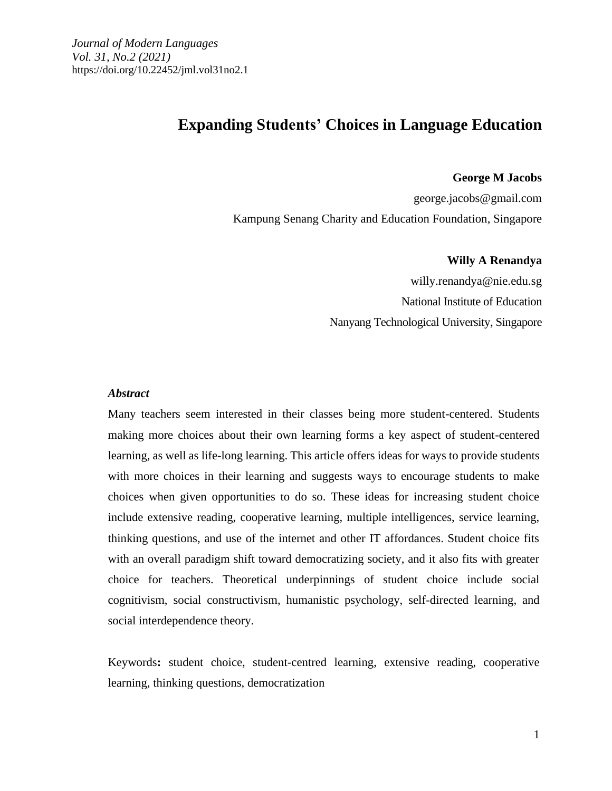# **Expanding Students' Choices in Language Education**

**George M Jacobs**

george.jacobs@gmail.com Kampung Senang Charity and Education Foundation, Singapore

**Willy A Renandya**

willy.renandya@nie.edu.sg National Institute of Education Nanyang Technological University, Singapore

#### *Abstract*

Many teachers seem interested in their classes being more student-centered. Students making more choices about their own learning forms a key aspect of student-centered learning, as well as life-long learning. This article offers ideas for ways to provide students with more choices in their learning and suggests ways to encourage students to make choices when given opportunities to do so. These ideas for increasing student choice include extensive reading, cooperative learning, multiple intelligences, service learning, thinking questions, and use of the internet and other IT affordances. Student choice fits with an overall paradigm shift toward democratizing society, and it also fits with greater choice for teachers. Theoretical underpinnings of student choice include social cognitivism, social constructivism, humanistic psychology, self-directed learning, and social interdependence theory.

Keywords**:** student choice, student-centred learning, extensive reading, cooperative learning, thinking questions, democratization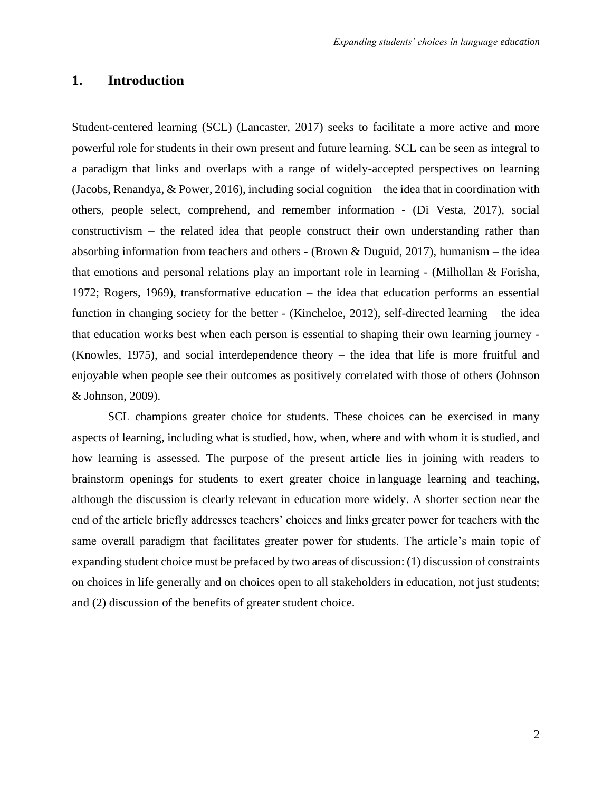# **1. Introduction**

Student-centered learning (SCL) (Lancaster, 2017) seeks to facilitate a more active and more powerful role for students in their own present and future learning. SCL can be seen as integral to a paradigm that links and overlaps with a range of widely-accepted perspectives on learning (Jacobs, Renandya, & Power, 2016), including social cognition – the idea that in coordination with others, people select, comprehend, and remember information - (Di Vesta, 2017), social constructivism – the related idea that people construct their own understanding rather than absorbing information from teachers and others - (Brown & Duguid, 2017), humanism – the idea that emotions and personal relations play an important role in learning - (Milhollan & Forisha, 1972; Rogers, 1969), transformative education – the idea that education performs an essential function in changing society for the better - (Kincheloe, 2012), self-directed learning – the idea that education works best when each person is essential to shaping their own learning journey - (Knowles, 1975), and social interdependence theory – the idea that life is more fruitful and enjoyable when people see their outcomes as positively correlated with those of others (Johnson & Johnson, 2009).

SCL champions greater choice for students. These choices can be exercised in many aspects of learning, including what is studied, how, when, where and with whom it is studied, and how learning is assessed. The purpose of the present article lies in joining with readers to brainstorm openings for students to exert greater choice in language learning and teaching, although the discussion is clearly relevant in education more widely. A shorter section near the end of the article briefly addresses teachers' choices and links greater power for teachers with the same overall paradigm that facilitates greater power for students. The article's main topic of expanding student choice must be prefaced by two areas of discussion: (1) discussion of constraints on choices in life generally and on choices open to all stakeholders in education, not just students; and (2) discussion of the benefits of greater student choice.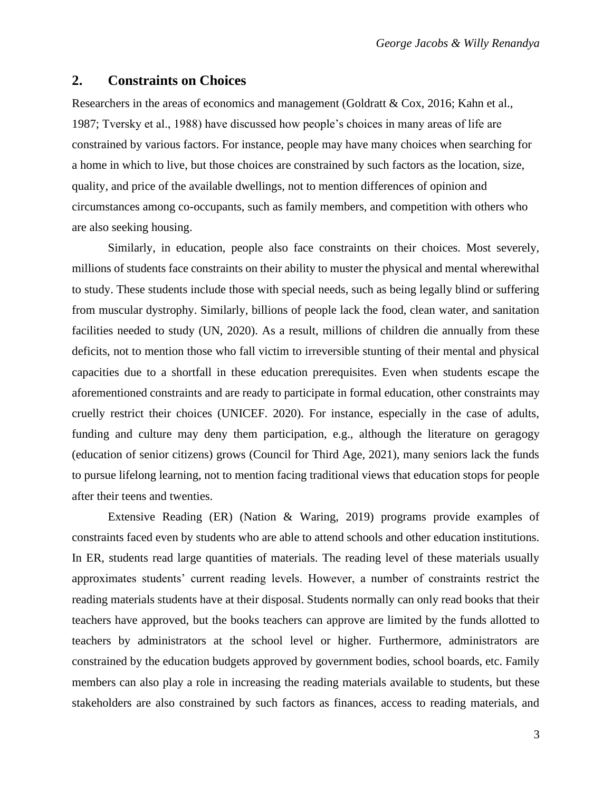### **2. Constraints on Choices**

Researchers in the areas of economics and management (Goldratt & Cox, 2016; Kahn et al., 1987; Tversky et al., 1988) have discussed how people's choices in many areas of life are constrained by various factors. For instance, people may have many choices when searching for a home in which to live, but those choices are constrained by such factors as the location, size, quality, and price of the available dwellings, not to mention differences of opinion and circumstances among co-occupants, such as family members, and competition with others who are also seeking housing.

Similarly, in education, people also face constraints on their choices. Most severely, millions of students face constraints on their ability to muster the physical and mental wherewithal to study. These students include those with special needs, such as being legally blind or suffering from muscular dystrophy. Similarly, billions of people lack the food, clean water, and sanitation facilities needed to study (UN, 2020). As a result, millions of children die annually from these deficits, not to mention those who fall victim to irreversible stunting of their mental and physical capacities due to a shortfall in these education prerequisites. Even when students escape the aforementioned constraints and are ready to participate in formal education, other constraints may cruelly restrict their choices (UNICEF. 2020). For instance, especially in the case of adults, funding and culture may deny them participation, e.g., although the literature on geragogy (education of senior citizens) grows (Council for Third Age, 2021), many seniors lack the funds to pursue lifelong learning, not to mention facing traditional views that education stops for people after their teens and twenties.

Extensive Reading (ER) (Nation & Waring, 2019) programs provide examples of constraints faced even by students who are able to attend schools and other education institutions. In ER, students read large quantities of materials. The reading level of these materials usually approximates students' current reading levels. However, a number of constraints restrict the reading materials students have at their disposal. Students normally can only read books that their teachers have approved, but the books teachers can approve are limited by the funds allotted to teachers by administrators at the school level or higher. Furthermore, administrators are constrained by the education budgets approved by government bodies, school boards, etc. Family members can also play a role in increasing the reading materials available to students, but these stakeholders are also constrained by such factors as finances, access to reading materials, and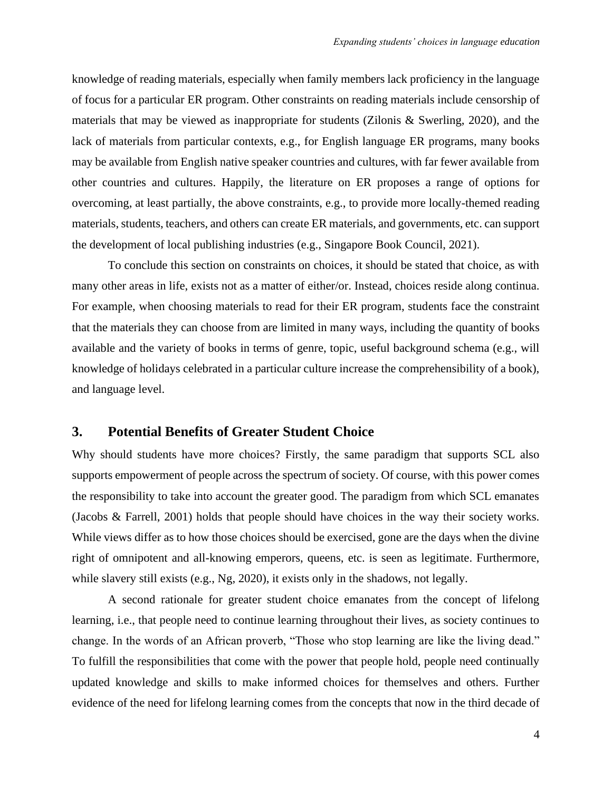knowledge of reading materials, especially when family members lack proficiency in the language of focus for a particular ER program. Other constraints on reading materials include censorship of materials that may be viewed as inappropriate for students (Zilonis & Swerling, 2020), and the lack of materials from particular contexts, e.g., for English language ER programs, many books may be available from English native speaker countries and cultures, with far fewer available from other countries and cultures. Happily, the literature on ER proposes a range of options for overcoming, at least partially, the above constraints, e.g., to provide more locally-themed reading materials, students, teachers, and others can create ER materials, and governments, etc. can support the development of local publishing industries (e.g., Singapore Book Council, 2021).

To conclude this section on constraints on choices, it should be stated that choice, as with many other areas in life, exists not as a matter of either/or. Instead, choices reside along continua. For example, when choosing materials to read for their ER program, students face the constraint that the materials they can choose from are limited in many ways, including the quantity of books available and the variety of books in terms of genre, topic, useful background schema (e.g., will knowledge of holidays celebrated in a particular culture increase the comprehensibility of a book), and language level.

### **3. Potential Benefits of Greater Student Choice**

Why should students have more choices? Firstly, the same paradigm that supports SCL also supports empowerment of people across the spectrum of society. Of course, with this power comes the responsibility to take into account the greater good. The paradigm from which SCL emanates (Jacobs & Farrell, 2001) holds that people should have choices in the way their society works. While views differ as to how those choices should be exercised, gone are the days when the divine right of omnipotent and all-knowing emperors, queens, etc. is seen as legitimate. Furthermore, while slavery still exists (e.g., Ng, 2020), it exists only in the shadows, not legally.

A second rationale for greater student choice emanates from the concept of lifelong learning, i.e., that people need to continue learning throughout their lives, as society continues to change. In the words of an African proverb, "Those who stop learning are like the living dead." To fulfill the responsibilities that come with the power that people hold, people need continually updated knowledge and skills to make informed choices for themselves and others. Further evidence of the need for lifelong learning comes from the concepts that now in the third decade of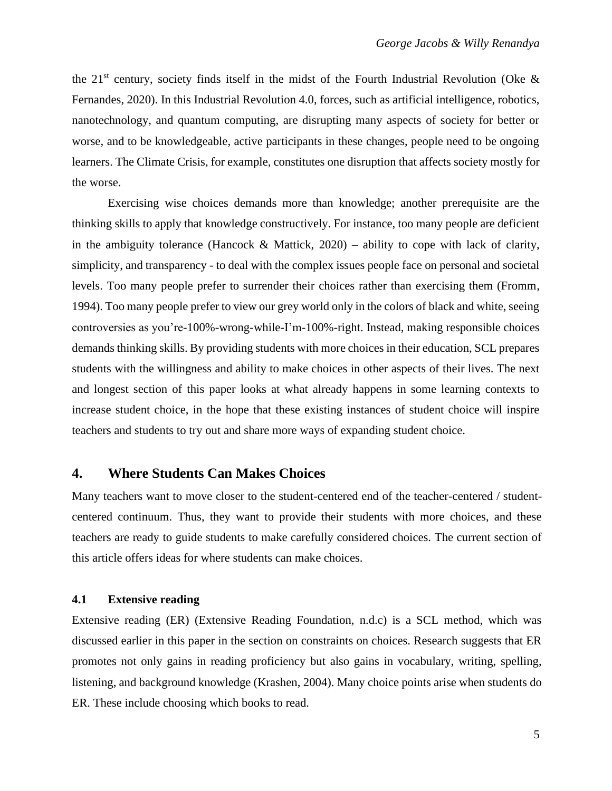the 21<sup>st</sup> century, society finds itself in the midst of the Fourth Industrial Revolution (Oke  $\&$ Fernandes, 2020). In this Industrial Revolution 4.0, forces, such as artificial intelligence, robotics, nanotechnology, and quantum computing, are disrupting many aspects of society for better or worse, and to be knowledgeable, active participants in these changes, people need to be ongoing learners. The Climate Crisis, for example, constitutes one disruption that affects society mostly for the worse.

Exercising wise choices demands more than knowledge; another prerequisite are the thinking skills to apply that knowledge constructively. For instance, too many people are deficient in the ambiguity tolerance (Hancock & Mattick,  $2020$ ) – ability to cope with lack of clarity, simplicity, and transparency - to deal with the complex issues people face on personal and societal levels. Too many people prefer to surrender their choices rather than exercising them (Fromm, 1994). Too many people prefer to view our grey world only in the colors of black and white, seeing controversies as you're-100%-wrong-while-I'm-100%-right. Instead, making responsible choices demands thinking skills. By providing students with more choices in their education, SCL prepares students with the willingness and ability to make choices in other aspects of their lives. The next and longest section of this paper looks at what already happens in some learning contexts to increase student choice, in the hope that these existing instances of student choice will inspire teachers and students to try out and share more ways of expanding student choice.

### **4. Where Students Can Makes Choices**

Many teachers want to move closer to the student-centered end of the teacher-centered / studentcentered continuum. Thus, they want to provide their students with more choices, and these teachers are ready to guide students to make carefully considered choices. The current section of this article offers ideas for where students can make choices.

#### **4.1 Extensive reading**

Extensive reading (ER) (Extensive Reading Foundation, n.d.c) is a SCL method, which was discussed earlier in this paper in the section on constraints on choices. Research suggests that ER promotes not only gains in reading proficiency but also gains in vocabulary, writing, spelling, listening, and background knowledge (Krashen, 2004). Many choice points arise when students do ER. These include choosing which books to read.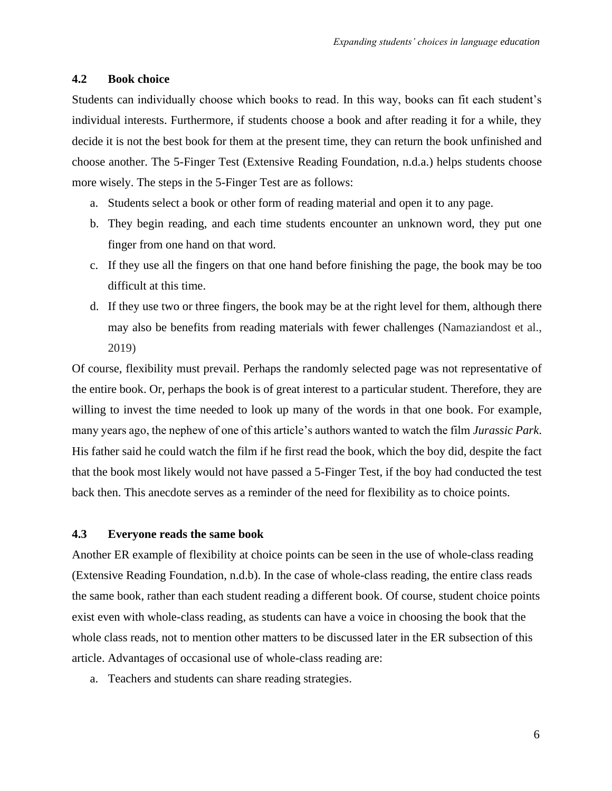### **4.2 Book choice**

Students can individually choose which books to read. In this way, books can fit each student's individual interests. Furthermore, if students choose a book and after reading it for a while, they decide it is not the best book for them at the present time, they can return the book unfinished and choose another. The 5-Finger Test (Extensive Reading Foundation, n.d.a.) helps students choose more wisely. The steps in the 5-Finger Test are as follows:

- a. Students select a book or other form of reading material and open it to any page.
- b. They begin reading, and each time students encounter an unknown word, they put one finger from one hand on that word.
- c. If they use all the fingers on that one hand before finishing the page, the book may be too difficult at this time.
- d. If they use two or three fingers, the book may be at the right level for them, although there may also be benefits from reading materials with fewer challenges (Namaziandost et al., 2019)

Of course, flexibility must prevail. Perhaps the randomly selected page was not representative of the entire book. Or, perhaps the book is of great interest to a particular student. Therefore, they are willing to invest the time needed to look up many of the words in that one book. For example, many years ago, the nephew of one of this article's authors wanted to watch the film *Jurassic Park*. His father said he could watch the film if he first read the book, which the boy did, despite the fact that the book most likely would not have passed a 5-Finger Test, if the boy had conducted the test back then. This anecdote serves as a reminder of the need for flexibility as to choice points.

### **4.3 Everyone reads the same book**

Another ER example of flexibility at choice points can be seen in the use of whole-class reading (Extensive Reading Foundation, n.d.b). In the case of whole-class reading, the entire class reads the same book, rather than each student reading a different book. Of course, student choice points exist even with whole-class reading, as students can have a voice in choosing the book that the whole class reads, not to mention other matters to be discussed later in the ER subsection of this article. Advantages of occasional use of whole-class reading are:

a. Teachers and students can share reading strategies.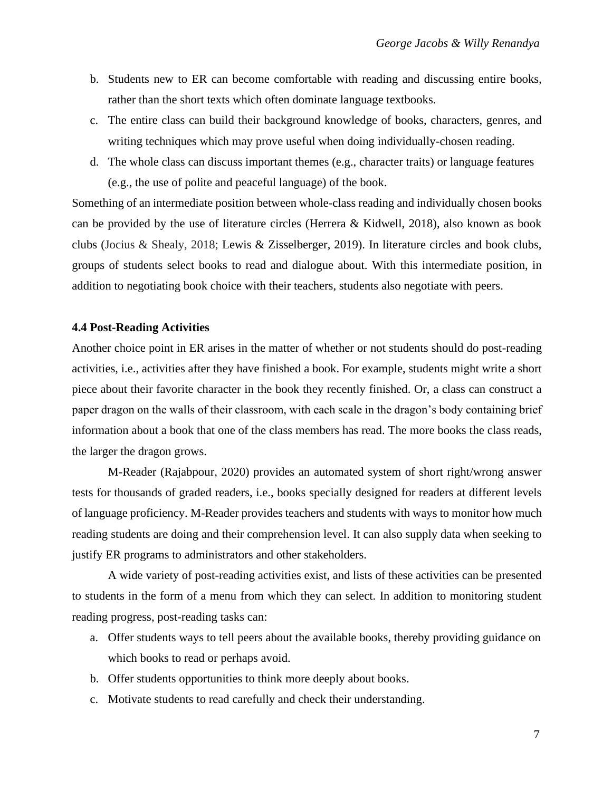- b. Students new to ER can become comfortable with reading and discussing entire books, rather than the short texts which often dominate language textbooks.
- c. The entire class can build their background knowledge of books, characters, genres, and writing techniques which may prove useful when doing individually-chosen reading.
- d. The whole class can discuss important themes (e.g., character traits) or language features (e.g., the use of polite and peaceful language) of the book.

Something of an intermediate position between whole-class reading and individually chosen books can be provided by the use of literature circles (Herrera & Kidwell, 2018), also known as book clubs (Jocius & Shealy, 2018; Lewis & Zisselberger, 2019). In literature circles and book clubs, groups of students select books to read and dialogue about. With this intermediate position, in addition to negotiating book choice with their teachers, students also negotiate with peers.

#### **4.4 Post-Reading Activities**

Another choice point in ER arises in the matter of whether or not students should do post-reading activities, i.e., activities after they have finished a book. For example, students might write a short piece about their favorite character in the book they recently finished. Or, a class can construct a paper dragon on the walls of their classroom, with each scale in the dragon's body containing brief information about a book that one of the class members has read. The more books the class reads, the larger the dragon grows.

M-Reader (Rajabpour, 2020) provides an automated system of short right/wrong answer tests for thousands of graded readers, i.e., books specially designed for readers at different levels of language proficiency. M-Reader provides teachers and students with ways to monitor how much reading students are doing and their comprehension level. It can also supply data when seeking to justify ER programs to administrators and other stakeholders.

A wide variety of post-reading activities exist, and lists of these activities can be presented to students in the form of a menu from which they can select. In addition to monitoring student reading progress, post-reading tasks can:

- a. Offer students ways to tell peers about the available books, thereby providing guidance on which books to read or perhaps avoid.
- b. Offer students opportunities to think more deeply about books.
- c. Motivate students to read carefully and check their understanding.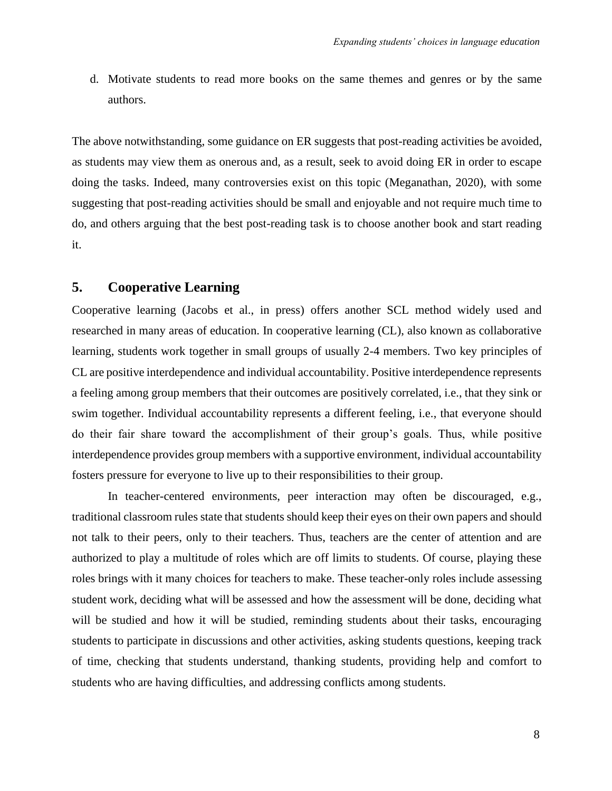d. Motivate students to read more books on the same themes and genres or by the same authors.

The above notwithstanding, some guidance on ER suggests that post-reading activities be avoided, as students may view them as onerous and, as a result, seek to avoid doing ER in order to escape doing the tasks. Indeed, many controversies exist on this topic (Meganathan, 2020), with some suggesting that post-reading activities should be small and enjoyable and not require much time to do, and others arguing that the best post-reading task is to choose another book and start reading it.

# **5. Cooperative Learning**

Cooperative learning (Jacobs et al., in press) offers another SCL method widely used and researched in many areas of education. In cooperative learning (CL), also known as collaborative learning, students work together in small groups of usually 2-4 members. Two key principles of CL are positive interdependence and individual accountability. Positive interdependence represents a feeling among group members that their outcomes are positively correlated, i.e., that they sink or swim together. Individual accountability represents a different feeling, i.e., that everyone should do their fair share toward the accomplishment of their group's goals. Thus, while positive interdependence provides group members with a supportive environment, individual accountability fosters pressure for everyone to live up to their responsibilities to their group.

In teacher-centered environments, peer interaction may often be discouraged, e.g., traditional classroom rules state that students should keep their eyes on their own papers and should not talk to their peers, only to their teachers. Thus, teachers are the center of attention and are authorized to play a multitude of roles which are off limits to students. Of course, playing these roles brings with it many choices for teachers to make. These teacher-only roles include assessing student work, deciding what will be assessed and how the assessment will be done, deciding what will be studied and how it will be studied, reminding students about their tasks, encouraging students to participate in discussions and other activities, asking students questions, keeping track of time, checking that students understand, thanking students, providing help and comfort to students who are having difficulties, and addressing conflicts among students.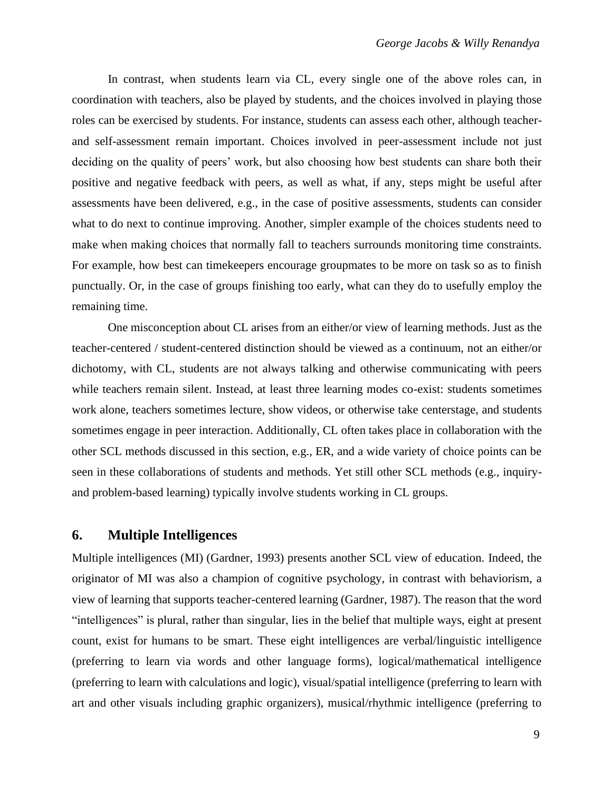In contrast, when students learn via CL, every single one of the above roles can, in coordination with teachers, also be played by students, and the choices involved in playing those roles can be exercised by students. For instance, students can assess each other, although teacherand self-assessment remain important. Choices involved in peer-assessment include not just deciding on the quality of peers' work, but also choosing how best students can share both their positive and negative feedback with peers, as well as what, if any, steps might be useful after assessments have been delivered, e.g., in the case of positive assessments, students can consider what to do next to continue improving. Another, simpler example of the choices students need to make when making choices that normally fall to teachers surrounds monitoring time constraints. For example, how best can timekeepers encourage groupmates to be more on task so as to finish punctually. Or, in the case of groups finishing too early, what can they do to usefully employ the remaining time.

One misconception about CL arises from an either/or view of learning methods. Just as the teacher-centered / student-centered distinction should be viewed as a continuum, not an either/or dichotomy, with CL, students are not always talking and otherwise communicating with peers while teachers remain silent. Instead, at least three learning modes co-exist: students sometimes work alone, teachers sometimes lecture, show videos, or otherwise take centerstage, and students sometimes engage in peer interaction. Additionally, CL often takes place in collaboration with the other SCL methods discussed in this section, e.g., ER, and a wide variety of choice points can be seen in these collaborations of students and methods. Yet still other SCL methods (e.g., inquiryand problem-based learning) typically involve students working in CL groups.

### **6. Multiple Intelligences**

Multiple intelligences (MI) (Gardner, 1993) presents another SCL view of education. Indeed, the originator of MI was also a champion of cognitive psychology, in contrast with behaviorism, a view of learning that supports teacher-centered learning (Gardner, 1987). The reason that the word "intelligences" is plural, rather than singular, lies in the belief that multiple ways, eight at present count, exist for humans to be smart. These eight intelligences are verbal/linguistic intelligence (preferring to learn via words and other language forms), logical/mathematical intelligence (preferring to learn with calculations and logic), visual/spatial intelligence (preferring to learn with art and other visuals including graphic organizers), musical/rhythmic intelligence (preferring to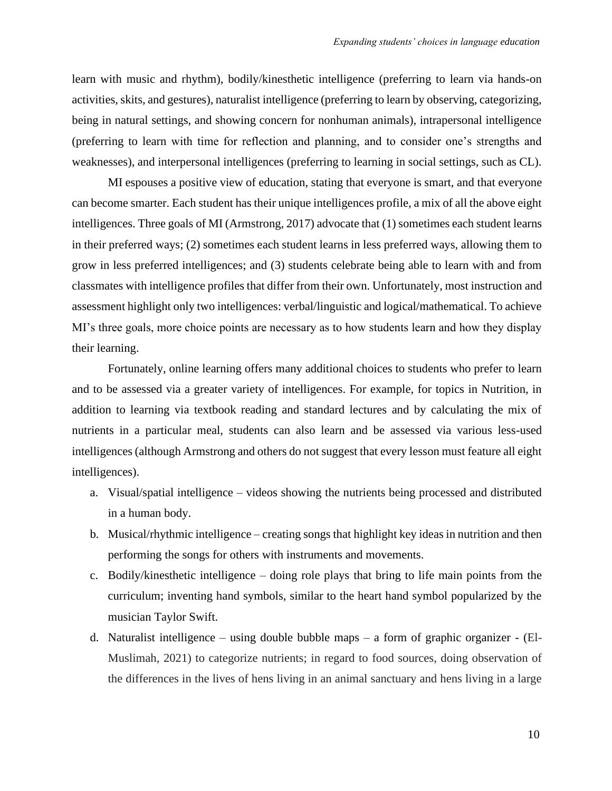learn with music and rhythm), bodily/kinesthetic intelligence (preferring to learn via hands-on activities, skits, and gestures), naturalist intelligence (preferring to learn by observing, categorizing, being in natural settings, and showing concern for nonhuman animals), intrapersonal intelligence (preferring to learn with time for reflection and planning, and to consider one's strengths and weaknesses), and interpersonal intelligences (preferring to learning in social settings, such as CL).

MI espouses a positive view of education, stating that everyone is smart, and that everyone can become smarter. Each student has their unique intelligences profile, a mix of all the above eight intelligences. Three goals of MI (Armstrong, 2017) advocate that (1) sometimes each student learns in their preferred ways; (2) sometimes each student learns in less preferred ways, allowing them to grow in less preferred intelligences; and (3) students celebrate being able to learn with and from classmates with intelligence profiles that differ from their own. Unfortunately, most instruction and assessment highlight only two intelligences: verbal/linguistic and logical/mathematical. To achieve MI's three goals, more choice points are necessary as to how students learn and how they display their learning.

Fortunately, online learning offers many additional choices to students who prefer to learn and to be assessed via a greater variety of intelligences. For example, for topics in Nutrition, in addition to learning via textbook reading and standard lectures and by calculating the mix of nutrients in a particular meal, students can also learn and be assessed via various less-used intelligences (although Armstrong and others do not suggest that every lesson must feature all eight intelligences).

- a. Visual/spatial intelligence videos showing the nutrients being processed and distributed in a human body.
- b. Musical/rhythmic intelligence creating songs that highlight key ideas in nutrition and then performing the songs for others with instruments and movements.
- c. Bodily/kinesthetic intelligence doing role plays that bring to life main points from the curriculum; inventing hand symbols, similar to the heart hand symbol popularized by the musician Taylor Swift.
- d. Naturalist intelligence using double bubble maps a form of graphic organizer (El-Muslimah, 2021) to categorize nutrients; in regard to food sources, doing observation of the differences in the lives of hens living in an animal sanctuary and hens living in a large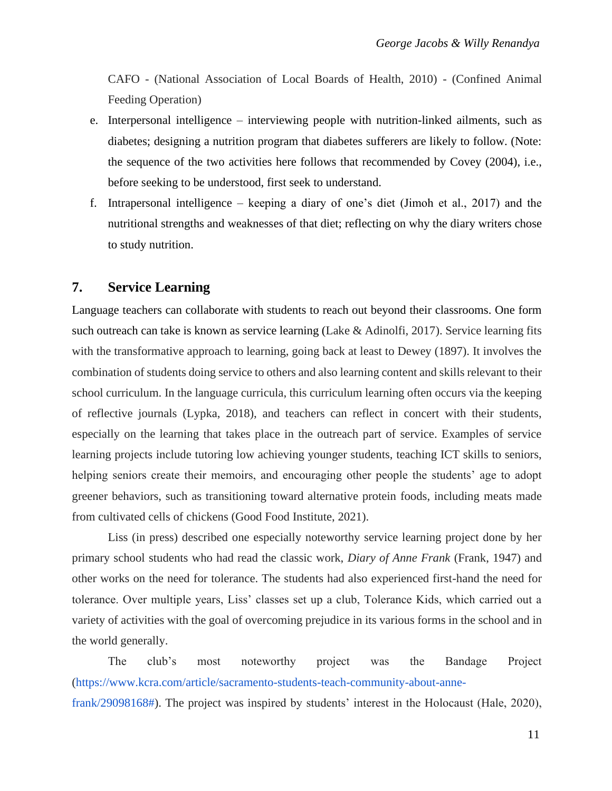CAFO - (National Association of Local Boards of Health, 2010) - (Confined Animal Feeding Operation)

- e. Interpersonal intelligence interviewing people with nutrition-linked ailments, such as diabetes; designing a nutrition program that diabetes sufferers are likely to follow. (Note: the sequence of the two activities here follows that recommended by Covey (2004), i.e., before seeking to be understood, first seek to understand.
- f. Intrapersonal intelligence keeping a diary of one's diet (Jimoh et al., 2017) and the nutritional strengths and weaknesses of that diet; reflecting on why the diary writers chose to study nutrition.

### **7. Service Learning**

Language teachers can collaborate with students to reach out beyond their classrooms. One form such outreach can take is known as service learning (Lake & Adinolfi, 2017). Service learning fits with the transformative approach to learning, going back at least to Dewey (1897). It involves the combination of students doing service to others and also learning content and skills relevant to their school curriculum. In the language curricula, this curriculum learning often occurs via the keeping of reflective journals (Lypka, 2018), and teachers can reflect in concert with their students, especially on the learning that takes place in the outreach part of service. Examples of service learning projects include tutoring low achieving younger students, teaching ICT skills to seniors, helping seniors create their memoirs, and encouraging other people the students' age to adopt greener behaviors, such as transitioning toward alternative protein foods, including meats made from cultivated cells of chickens (Good Food Institute, 2021).

Liss (in press) described one especially noteworthy service learning project done by her primary school students who had read the classic work, *Diary of Anne Frank* (Frank, 1947) and other works on the need for tolerance. The students had also experienced first-hand the need for tolerance. Over multiple years, Liss' classes set up a club, Tolerance Kids, which carried out a variety of activities with the goal of overcoming prejudice in its various forms in the school and in the world generally.

The club's most noteworthy project was the Bandage Project (https://www.kcra.com/article/sacramento-students-teach-community-about-annefrank/29098168#). The project was inspired by students' interest in the Holocaust (Hale, 2020),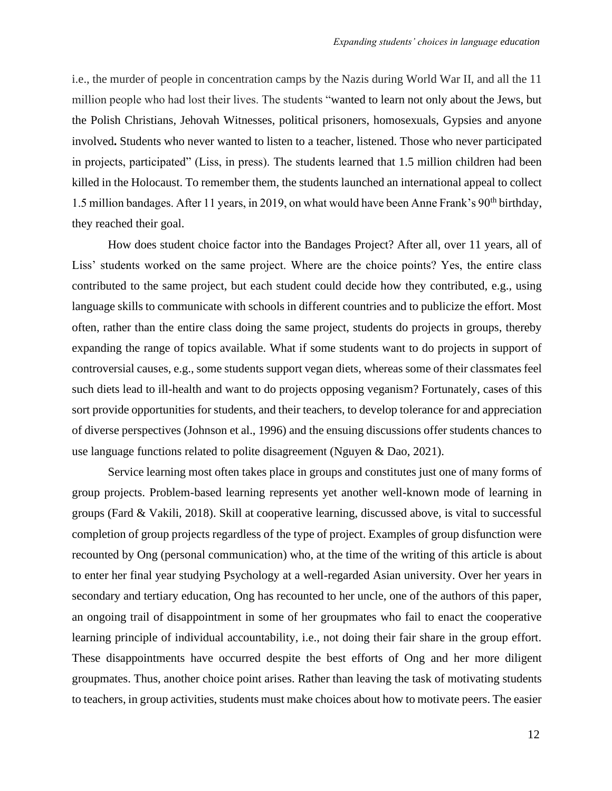i.e., the murder of people in concentration camps by the Nazis during World War II, and all the 11 million people who had lost their lives. The students "wanted to learn not only about the Jews, but the Polish Christians, Jehovah Witnesses, political prisoners, homosexuals, Gypsies and anyone involved**.** Students who never wanted to listen to a teacher, listened. Those who never participated in projects, participated" (Liss, in press). The students learned that 1.5 million children had been killed in the Holocaust. To remember them, the students launched an international appeal to collect 1.5 million bandages. After 11 years, in 2019, on what would have been Anne Frank's 90<sup>th</sup> birthday, they reached their goal.

How does student choice factor into the Bandages Project? After all, over 11 years, all of Liss' students worked on the same project. Where are the choice points? Yes, the entire class contributed to the same project, but each student could decide how they contributed, e.g., using language skills to communicate with schools in different countries and to publicize the effort. Most often, rather than the entire class doing the same project, students do projects in groups, thereby expanding the range of topics available. What if some students want to do projects in support of controversial causes, e.g., some students support vegan diets, whereas some of their classmates feel such diets lead to ill-health and want to do projects opposing veganism? Fortunately, cases of this sort provide opportunities for students, and their teachers, to develop tolerance for and appreciation of diverse perspectives (Johnson et al., 1996) and the ensuing discussions offer students chances to use language functions related to polite disagreement (Nguyen & Dao, 2021).

Service learning most often takes place in groups and constitutes just one of many forms of group projects. Problem-based learning represents yet another well-known mode of learning in groups (Fard & Vakili, 2018). Skill at cooperative learning, discussed above, is vital to successful completion of group projects regardless of the type of project. Examples of group disfunction were recounted by Ong (personal communication) who, at the time of the writing of this article is about to enter her final year studying Psychology at a well-regarded Asian university. Over her years in secondary and tertiary education, Ong has recounted to her uncle, one of the authors of this paper, an ongoing trail of disappointment in some of her groupmates who fail to enact the cooperative learning principle of individual accountability, i.e., not doing their fair share in the group effort. These disappointments have occurred despite the best efforts of Ong and her more diligent groupmates. Thus, another choice point arises. Rather than leaving the task of motivating students to teachers, in group activities, students must make choices about how to motivate peers. The easier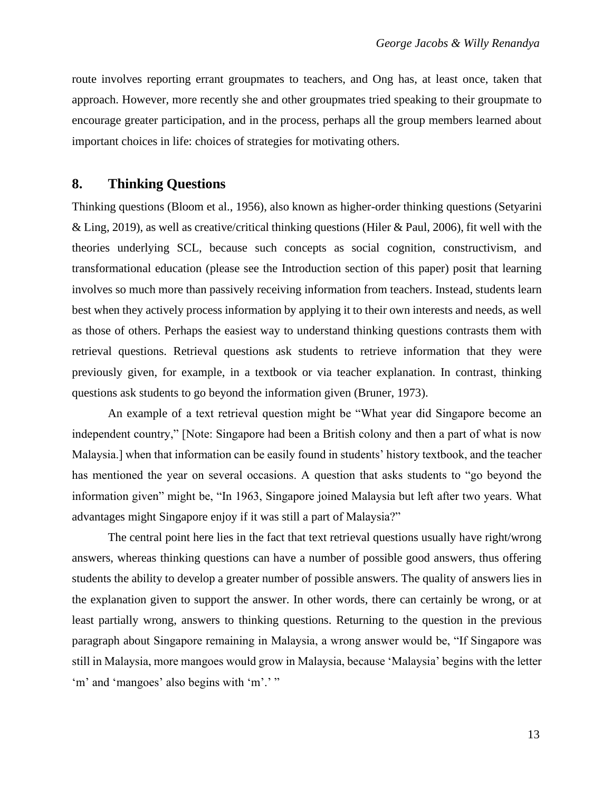route involves reporting errant groupmates to teachers, and Ong has, at least once, taken that approach. However, more recently she and other groupmates tried speaking to their groupmate to encourage greater participation, and in the process, perhaps all the group members learned about important choices in life: choices of strategies for motivating others.

# **8. Thinking Questions**

Thinking questions (Bloom et al., 1956), also known as higher-order thinking questions (Setyarini & Ling, 2019), as well as creative/critical thinking questions (Hiler & Paul, 2006), fit well with the theories underlying SCL, because such concepts as social cognition, constructivism, and transformational education (please see the Introduction section of this paper) posit that learning involves so much more than passively receiving information from teachers. Instead, students learn best when they actively process information by applying it to their own interests and needs, as well as those of others. Perhaps the easiest way to understand thinking questions contrasts them with retrieval questions. Retrieval questions ask students to retrieve information that they were previously given, for example, in a textbook or via teacher explanation. In contrast, thinking questions ask students to go beyond the information given (Bruner, 1973).

An example of a text retrieval question might be "What year did Singapore become an independent country," [Note: Singapore had been a British colony and then a part of what is now Malaysia.] when that information can be easily found in students' history textbook, and the teacher has mentioned the year on several occasions. A question that asks students to "go beyond the information given" might be, "In 1963, Singapore joined Malaysia but left after two years. What advantages might Singapore enjoy if it was still a part of Malaysia?"

The central point here lies in the fact that text retrieval questions usually have right/wrong answers, whereas thinking questions can have a number of possible good answers, thus offering students the ability to develop a greater number of possible answers. The quality of answers lies in the explanation given to support the answer. In other words, there can certainly be wrong, or at least partially wrong, answers to thinking questions. Returning to the question in the previous paragraph about Singapore remaining in Malaysia, a wrong answer would be, "If Singapore was still in Malaysia, more mangoes would grow in Malaysia, because 'Malaysia' begins with the letter 'm' and 'mangoes' also begins with 'm'.' "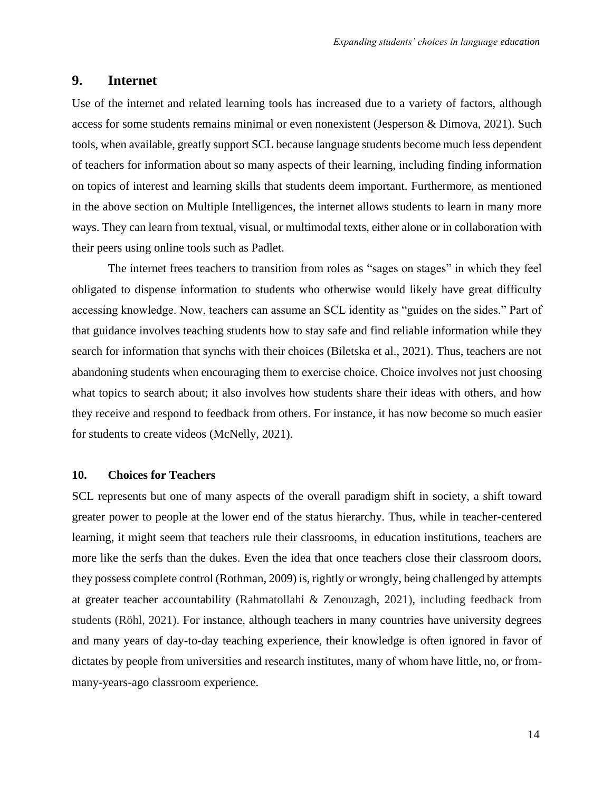### **9. Internet**

Use of the internet and related learning tools has increased due to a variety of factors, although access for some students remains minimal or even nonexistent (Jesperson & Dimova, 2021). Such tools, when available, greatly support SCL because language students become much less dependent of teachers for information about so many aspects of their learning, including finding information on topics of interest and learning skills that students deem important. Furthermore, as mentioned in the above section on Multiple Intelligences, the internet allows students to learn in many more ways. They can learn from textual, visual, or multimodal texts, either alone or in collaboration with their peers using online tools such as Padlet.

The internet frees teachers to transition from roles as "sages on stages" in which they feel obligated to dispense information to students who otherwise would likely have great difficulty accessing knowledge. Now, teachers can assume an SCL identity as "guides on the sides." Part of that guidance involves teaching students how to stay safe and find reliable information while they search for information that synchs with their choices (Biletska et al., 2021). Thus, teachers are not abandoning students when encouraging them to exercise choice. Choice involves not just choosing what topics to search about; it also involves how students share their ideas with others, and how they receive and respond to feedback from others. For instance, it has now become so much easier for students to create videos (McNelly, 2021).

#### **10. Choices for Teachers**

SCL represents but one of many aspects of the overall paradigm shift in society, a shift toward greater power to people at the lower end of the status hierarchy. Thus, while in teacher-centered learning, it might seem that teachers rule their classrooms, in education institutions, teachers are more like the serfs than the dukes. Even the idea that once teachers close their classroom doors, they possess complete control (Rothman, 2009) is, rightly or wrongly, being challenged by attempts at greater teacher accountability (Rahmatollahi & Zenouzagh, 2021), including feedback from students (Röhl, 2021). For instance, although teachers in many countries have university degrees and many years of day-to-day teaching experience, their knowledge is often ignored in favor of dictates by people from universities and research institutes, many of whom have little, no, or frommany-years-ago classroom experience.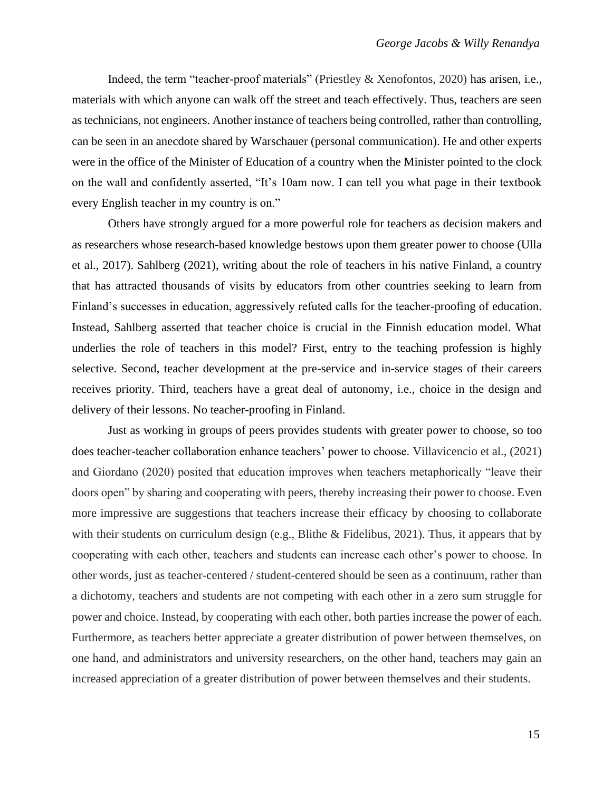Indeed, the term "teacher-proof materials" (Priestley & Xenofontos, 2020) has arisen, i.e., materials with which anyone can walk off the street and teach effectively. Thus, teachers are seen as technicians, not engineers. Another instance of teachers being controlled, rather than controlling, can be seen in an anecdote shared by Warschauer (personal communication). He and other experts were in the office of the Minister of Education of a country when the Minister pointed to the clock on the wall and confidently asserted, "It's 10am now. I can tell you what page in their textbook every English teacher in my country is on."

Others have strongly argued for a more powerful role for teachers as decision makers and as researchers whose research-based knowledge bestows upon them greater power to choose (Ulla et al., 2017). Sahlberg (2021), writing about the role of teachers in his native Finland, a country that has attracted thousands of visits by educators from other countries seeking to learn from Finland's successes in education, aggressively refuted calls for the teacher-proofing of education. Instead, Sahlberg asserted that teacher choice is crucial in the Finnish education model. What underlies the role of teachers in this model? First, entry to the teaching profession is highly selective. Second, teacher development at the pre-service and in-service stages of their careers receives priority. Third, teachers have a great deal of autonomy, i.e., choice in the design and delivery of their lessons. No teacher-proofing in Finland.

Just as working in groups of peers provides students with greater power to choose, so too does teacher-teacher collaboration enhance teachers' power to choose. Villavicencio et al., (2021) and Giordano (2020) posited that education improves when teachers metaphorically "leave their doors open" by sharing and cooperating with peers, thereby increasing their power to choose. Even more impressive are suggestions that teachers increase their efficacy by choosing to collaborate with their students on curriculum design (e.g., Blithe & Fidelibus, 2021). Thus, it appears that by cooperating with each other, teachers and students can increase each other's power to choose. In other words, just as teacher-centered / student-centered should be seen as a continuum, rather than a dichotomy, teachers and students are not competing with each other in a zero sum struggle for power and choice. Instead, by cooperating with each other, both parties increase the power of each. Furthermore, as teachers better appreciate a greater distribution of power between themselves, on one hand, and administrators and university researchers, on the other hand, teachers may gain an increased appreciation of a greater distribution of power between themselves and their students.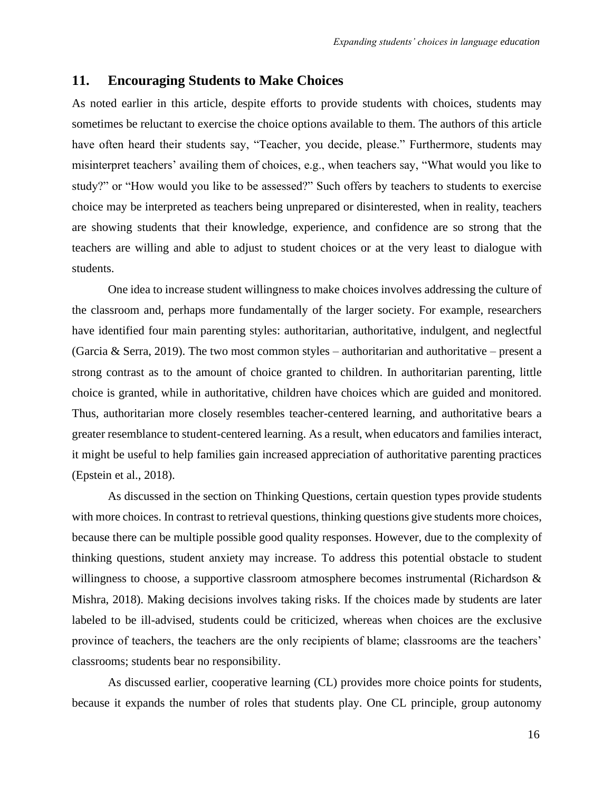#### **11. Encouraging Students to Make Choices**

As noted earlier in this article, despite efforts to provide students with choices, students may sometimes be reluctant to exercise the choice options available to them. The authors of this article have often heard their students say, "Teacher, you decide, please." Furthermore, students may misinterpret teachers' availing them of choices, e.g., when teachers say, "What would you like to study?" or "How would you like to be assessed?" Such offers by teachers to students to exercise choice may be interpreted as teachers being unprepared or disinterested, when in reality, teachers are showing students that their knowledge, experience, and confidence are so strong that the teachers are willing and able to adjust to student choices or at the very least to dialogue with students.

One idea to increase student willingness to make choices involves addressing the culture of the classroom and, perhaps more fundamentally of the larger society. For example, researchers have identified four main parenting styles: authoritarian, authoritative, indulgent, and neglectful (Garcia & Serra, 2019). The two most common styles – authoritarian and authoritative – present a strong contrast as to the amount of choice granted to children. In authoritarian parenting, little choice is granted, while in authoritative, children have choices which are guided and monitored. Thus, authoritarian more closely resembles teacher-centered learning, and authoritative bears a greater resemblance to student-centered learning. As a result, when educators and families interact, it might be useful to help families gain increased appreciation of authoritative parenting practices (Epstein et al., 2018).

As discussed in the section on Thinking Questions, certain question types provide students with more choices. In contrast to retrieval questions, thinking questions give students more choices, because there can be multiple possible good quality responses. However, due to the complexity of thinking questions, student anxiety may increase. To address this potential obstacle to student willingness to choose, a supportive classroom atmosphere becomes instrumental (Richardson & Mishra, 2018). Making decisions involves taking risks. If the choices made by students are later labeled to be ill-advised, students could be criticized, whereas when choices are the exclusive province of teachers, the teachers are the only recipients of blame; classrooms are the teachers' classrooms; students bear no responsibility.

As discussed earlier, cooperative learning (CL) provides more choice points for students, because it expands the number of roles that students play. One CL principle, group autonomy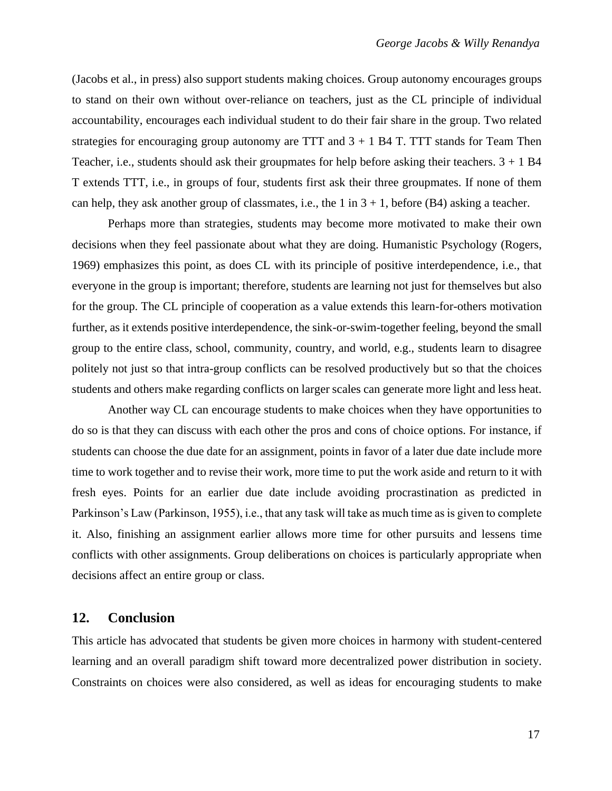(Jacobs et al., in press) also support students making choices. Group autonomy encourages groups to stand on their own without over-reliance on teachers, just as the CL principle of individual accountability, encourages each individual student to do their fair share in the group. Two related strategies for encouraging group autonomy are TTT and  $3 + 1$  B4 T. TTT stands for Team Then Teacher, i.e., students should ask their groupmates for help before asking their teachers.  $3 + 1$  B4 T extends TTT, i.e., in groups of four, students first ask their three groupmates. If none of them can help, they ask another group of classmates, i.e., the 1 in  $3 + 1$ , before (B4) asking a teacher.

Perhaps more than strategies, students may become more motivated to make their own decisions when they feel passionate about what they are doing. Humanistic Psychology (Rogers, 1969) emphasizes this point, as does CL with its principle of positive interdependence, i.e., that everyone in the group is important; therefore, students are learning not just for themselves but also for the group. The CL principle of cooperation as a value extends this learn-for-others motivation further, as it extends positive interdependence, the sink-or-swim-together feeling, beyond the small group to the entire class, school, community, country, and world, e.g., students learn to disagree politely not just so that intra-group conflicts can be resolved productively but so that the choices students and others make regarding conflicts on larger scales can generate more light and less heat.

Another way CL can encourage students to make choices when they have opportunities to do so is that they can discuss with each other the pros and cons of choice options. For instance, if students can choose the due date for an assignment, points in favor of a later due date include more time to work together and to revise their work, more time to put the work aside and return to it with fresh eyes. Points for an earlier due date include avoiding procrastination as predicted in Parkinson's Law (Parkinson, 1955), i.e., that any task will take as much time as is given to complete it. Also, finishing an assignment earlier allows more time for other pursuits and lessens time conflicts with other assignments. Group deliberations on choices is particularly appropriate when decisions affect an entire group or class.

### **12. Conclusion**

This article has advocated that students be given more choices in harmony with student-centered learning and an overall paradigm shift toward more decentralized power distribution in society. Constraints on choices were also considered, as well as ideas for encouraging students to make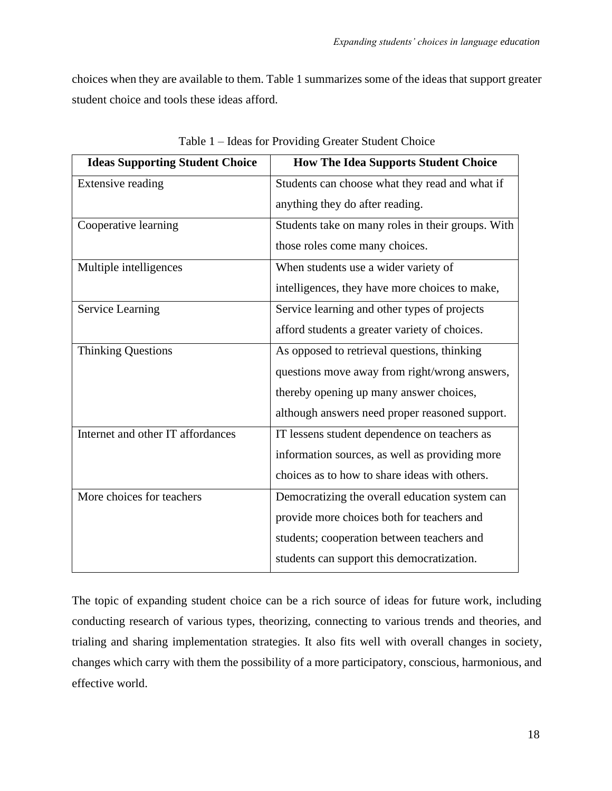choices when they are available to them. Table 1 summarizes some of the ideas that support greater student choice and tools these ideas afford.

| <b>Ideas Supporting Student Choice</b> | <b>How The Idea Supports Student Choice</b>       |
|----------------------------------------|---------------------------------------------------|
| Extensive reading                      | Students can choose what they read and what if    |
|                                        | anything they do after reading.                   |
| Cooperative learning                   | Students take on many roles in their groups. With |
|                                        | those roles come many choices.                    |
| Multiple intelligences                 | When students use a wider variety of              |
|                                        | intelligences, they have more choices to make,    |
| <b>Service Learning</b>                | Service learning and other types of projects      |
|                                        | afford students a greater variety of choices.     |
| <b>Thinking Questions</b>              | As opposed to retrieval questions, thinking       |
|                                        | questions move away from right/wrong answers,     |
|                                        | thereby opening up many answer choices,           |
|                                        | although answers need proper reasoned support.    |
| Internet and other IT affordances      | IT lessens student dependence on teachers as      |
|                                        | information sources, as well as providing more    |
|                                        | choices as to how to share ideas with others.     |
| More choices for teachers              | Democratizing the overall education system can    |
|                                        | provide more choices both for teachers and        |
|                                        | students; cooperation between teachers and        |
|                                        | students can support this democratization.        |

Table 1 – Ideas for Providing Greater Student Choice

The topic of expanding student choice can be a rich source of ideas for future work, including conducting research of various types, theorizing, connecting to various trends and theories, and trialing and sharing implementation strategies. It also fits well with overall changes in society, changes which carry with them the possibility of a more participatory, conscious, harmonious, and effective world.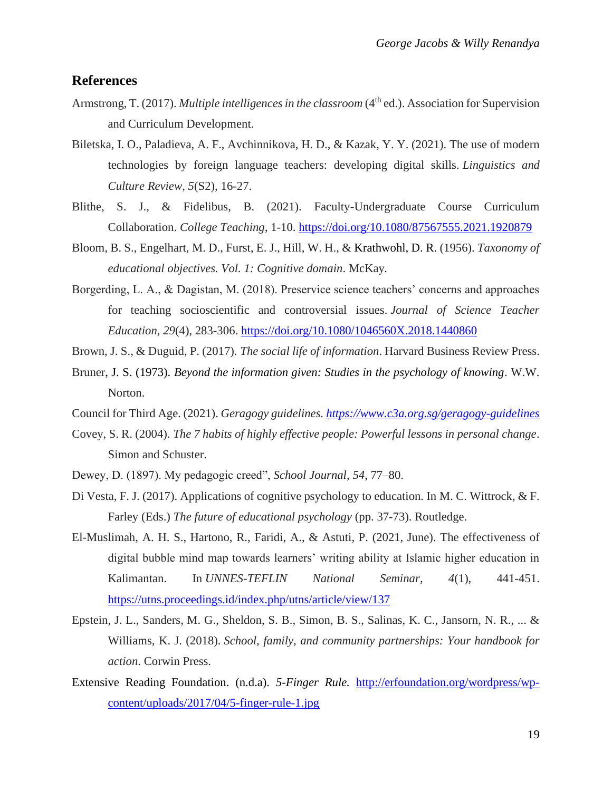# **References**

- Armstrong, T. (2017). *Multiple intelligences in the classroom* (4<sup>th</sup> ed.). Association for Supervision and Curriculum Development.
- Biletska, I. O., Paladieva, A. F., Avchinnikova, H. D., & Kazak, Y. Y. (2021). The use of modern technologies by foreign language teachers: developing digital skills. *Linguistics and Culture Review*, *5*(S2), 16-27.
- Blithe, S. J., & Fidelibus, B. (2021). Faculty-Undergraduate Course Curriculum Collaboration. *College Teaching*, 1-10.<https://doi.org/10.1080/87567555.2021.1920879>
- Bloom, B. S., Engelhart, M. D., Furst, E. J., Hill, W. H., & Krathwohl, D. R. (1956). *Taxonomy of educational objectives. Vol. 1: Cognitive domain*. McKay*.*
- Borgerding, L. A., & Dagistan, M. (2018). Preservice science teachers' concerns and approaches for teaching socioscientific and controversial issues. *Journal of Science Teacher Education*, *29*(4), 283-306.<https://doi.org/10.1080/1046560X.2018.1440860>

Brown, J. S., & Duguid, P. (2017). *The social life of information*. Harvard Business Review Press.

- Bruner, J. S. (1973). *Beyond the information given: Studies in the psychology of knowing*. W.W. Norton.
- Council for Third Age. (2021). *Geragogy guidelines.<https://www.c3a.org.sg/geragogy-guidelines>*
- Covey, S. R. (2004). *The 7 habits of highly effective people: Powerful lessons in personal change*. Simon and Schuster.
- Dewey, D. (1897). My pedagogic creed", *School Journal*, *54*, 77–80.
- Di Vesta, F. J. (2017). Applications of cognitive psychology to education. In M. C. Wittrock, & F. Farley (Eds.) *The future of educational psychology* (pp. 37-73). Routledge.
- El-Muslimah, A. H. S., Hartono, R., Faridi, A., & Astuti, P. (2021, June). The effectiveness of digital bubble mind map towards learners' writing ability at Islamic higher education in Kalimantan. In *UNNES-TEFLIN National Seminar*, *4*(1), 441-451. <https://utns.proceedings.id/index.php/utns/article/view/137>
- Epstein, J. L., Sanders, M. G., Sheldon, S. B., Simon, B. S., Salinas, K. C., Jansorn, N. R., ... & Williams, K. J. (2018). *School, family, and community partnerships: Your handbook for action*. Corwin Press.
- Extensive Reading Foundation. (n.d.a). *5-Finger Rule.* [http://erfoundation.org/wordpress/wp](http://erfoundation.org/wordpress/wp-content/uploads/2017/04/5-finger-rule-1.jpg)[content/uploads/2017/04/5-finger-rule-1.jpg](http://erfoundation.org/wordpress/wp-content/uploads/2017/04/5-finger-rule-1.jpg)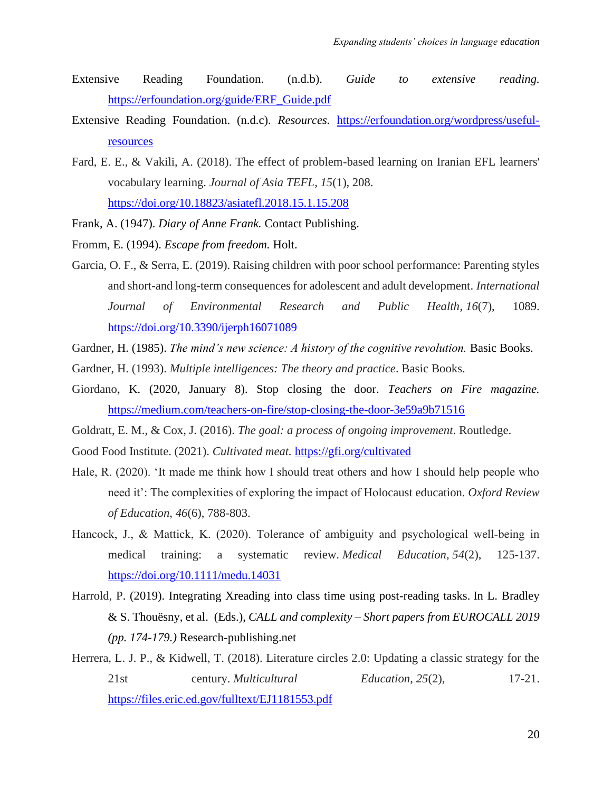- Extensive Reading Foundation. (n.d.b). *Guide to extensive reading.* [https://erfoundation.org/guide/ERF\\_Guide.pdf](https://erfoundation.org/guide/ERF_Guide.pdf)
- Extensive Reading Foundation. (n.d.c). *Resources.* [https://erfoundation.org/wordpress/useful](https://erfoundation.org/wordpress/useful-resources)[resources](https://erfoundation.org/wordpress/useful-resources)
- Fard, E. E., & Vakili, A. (2018). The effect of problem-based learning on Iranian EFL learners' vocabulary learning. *Journal of Asia TEFL*, *15*(1), 208. <https://doi.org/10.18823/asiatefl.2018.15.1.15.208>
- Frank, A. (1947). *Diary of Anne Frank.* Contact Publishing.
- Fromm, E. (1994). *Escape from freedom.* Holt.
- Garcia, O. F., & Serra, E. (2019). Raising children with poor school performance: Parenting styles and short-and long-term consequences for adolescent and adult development. *International Journal of Environmental Research and Public Health*, *16*(7), 1089. <https://doi.org/10.3390/ijerph16071089>
- Gardner, H. (1985). *The mind's new science: A history of the cognitive revolution*. Basic Books.
- Gardner, H. (1993). *Multiple intelligences: The theory and practice*. Basic Books.
- Giordano, K. (2020, January 8). Stop closing the door. *Teachers on Fire magazine.* <https://medium.com/teachers-on-fire/stop-closing-the-door-3e59a9b71516>
- Goldratt, E. M., & Cox, J. (2016). *The goal: a process of ongoing improvement*. Routledge.
- Good Food Institute. (2021). *Cultivated meat.* <https://gfi.org/cultivated>
- Hale, R. (2020). 'It made me think how I should treat others and how I should help people who need it': The complexities of exploring the impact of Holocaust education. *Oxford Review of Education*, *46*(6), 788-803.
- Hancock, J., & Mattick, K. (2020). Tolerance of ambiguity and psychological well-being in medical training: a systematic review. *Medical Education*, *54*(2), 125-137. <https://doi.org/10.1111/medu.14031>
- Harrold, P. (2019). Integrating Xreading into class time using post-reading tasks. In L. Bradley & S. Thouësny, et al. (Eds.), *CALL and complexity – Short papers from EUROCALL 2019 (pp. 174-179.)* Research-publishing.net
- Herrera, L. J. P., & Kidwell, T. (2018). Literature circles 2.0: Updating a classic strategy for the 21st century. *Multicultural Education*, *25*(2), 17-21. <https://files.eric.ed.gov/fulltext/EJ1181553.pdf>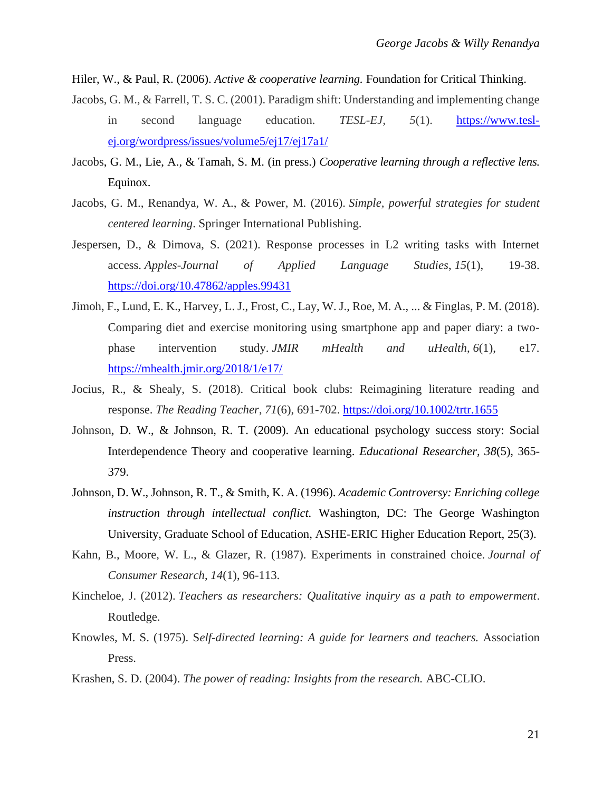Hiler, W., & Paul, R. (2006). *Active & cooperative learning.* Foundation for Critical Thinking.

- Jacobs, G. M., & Farrell, T. S. C. (2001). Paradigm shift: Understanding and implementing change in second language education. *TESL-EJ, 5*(1). [https://www.tesl](https://www.tesl-ej.org/wordpress/issues/volume5/ej17/ej17a1/)[ej.org/wordpress/issues/volume5/ej17/ej17a1/](https://www.tesl-ej.org/wordpress/issues/volume5/ej17/ej17a1/)
- Jacobs, G. M., Lie, A., & Tamah, S. M. (in press.) *Cooperative learning through a reflective lens.*  Equinox.
- Jacobs, G. M., Renandya, W. A., & Power, M. (2016). *Simple, powerful strategies for student centered learning*. Springer International Publishing.
- Jespersen, D., & Dimova, S. (2021). Response processes in L2 writing tasks with Internet access. *Apples-Journal of Applied Language Studies*, *15*(1), 19-38. <https://doi.org/10.47862/apples.99431>
- Jimoh, F., Lund, E. K., Harvey, L. J., Frost, C., Lay, W. J., Roe, M. A., ... & Finglas, P. M. (2018). Comparing diet and exercise monitoring using smartphone app and paper diary: a twophase intervention study. *JMIR mHealth and uHealth*, *6*(1), e17. <https://mhealth.jmir.org/2018/1/e17/>
- Jocius, R., & Shealy, S. (2018). Critical book clubs: Reimagining literature reading and response. *The Reading Teacher*, *71*(6), 691-702.<https://doi.org/10.1002/trtr.1655>
- Johnson, D. W., & Johnson, R. T. (2009). An educational psychology success story: Social Interdependence Theory and cooperative learning. *Educational Researcher, 38*(5), 365- 379.
- Johnson, D. W., Johnson, R. T., & Smith, K. A. (1996). *Academic Controversy: Enriching college instruction through intellectual conflict.* Washington, DC: The George Washington University, Graduate School of Education, ASHE-ERIC Higher Education Report, 25(3).
- Kahn, B., Moore, W. L., & Glazer, R. (1987). Experiments in constrained choice. *Journal of Consumer Research*, *14*(1), 96-113.
- Kincheloe, J. (2012). *Teachers as researchers: Qualitative inquiry as a path to empowerment*. Routledge.
- Knowles, M. S. (1975). S*elf-directed learning: A guide for learners and teachers.* Association Press.
- Krashen, S. D. (2004). *The power of reading: Insights from the research.* ABC-CLIO.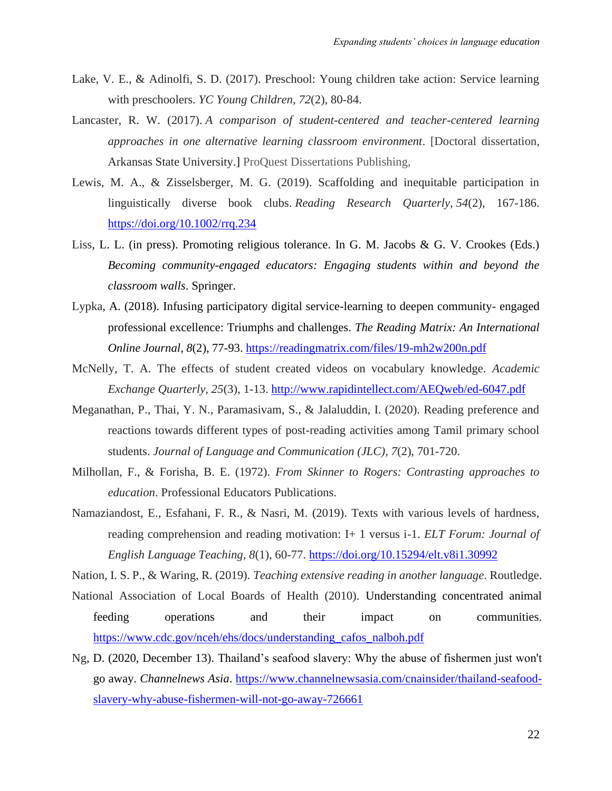- Lake, V. E., & Adinolfi, S. D. (2017). Preschool: Young children take action: Service learning with preschoolers. *YC Young Children*, *72*(2), 80-84.
- Lancaster, R. W. (2017). *A comparison of student-centered and teacher-centered learning approaches in one alternative learning classroom environment*. [Doctoral dissertation, Arkansas State University.] ProQuest Dissertations Publishing,
- Lewis, M. A., & Zisselsberger, M. G. (2019). Scaffolding and inequitable participation in linguistically diverse book clubs. *Reading Research Quarterly*, *54*(2), 167-186. <https://doi.org/10.1002/rrq.234>
- Liss, L. L. (in press). Promoting religious tolerance. In G. M. Jacobs & G. V. Crookes (Eds.) *Becoming community-engaged educators: Engaging students within and beyond the classroom walls*. Springer.
- Lypka, A. (2018). Infusing participatory digital service-learning to deepen community- engaged professional excellence: Triumphs and challenges. *The Reading Matrix: An International Online Journal*, *8*(2), 77-93. <https://readingmatrix.com/files/19-mh2w200n.pdf>
- McNelly, T. A. The effects of student created videos on vocabulary knowledge. *Academic Exchange Quarterly, 25*(3), 1-13.<http://www.rapidintellect.com/AEQweb/ed-6047.pdf>
- Meganathan, P., Thai, Y. N., Paramasivam, S., & Jalaluddin, I. (2020). Reading preference and reactions towards different types of post-reading activities among Tamil primary school students. *Journal of Language and Communication (JLC)*, *7*(2), 701-720.
- Milhollan, F., & Forisha, B. E. (1972). *From Skinner to Rogers: Contrasting approaches to education*. Professional Educators Publications.
- Namaziandost, E., Esfahani, F. R., & Nasri, M. (2019). Texts with various levels of hardness, reading comprehension and reading motivation: I+ 1 versus i-1. *ELT Forum: Journal of English Language Teaching, 8*(1), 60-77. <https://doi.org/10.15294/elt.v8i1.30992>

Nation, I. S. P., & Waring, R. (2019). *Teaching extensive reading in another language*. Routledge.

- National Association of Local Boards of Health (2010). Understanding concentrated animal feeding operations and their impact on communities. [https://www.cdc.gov/nceh/ehs/docs/understanding\\_cafos\\_nalboh.pdf](https://www.cdc.gov/nceh/ehs/docs/understanding_cafos_nalboh.pdf)
- Ng, D. (2020, December 13). Thailand's seafood slavery: Why the abuse of fishermen just won't go away. *Channelnews Asia*. [https://www.channelnewsasia.com/cnainsider/thailand-seafood](https://www.channelnewsasia.com/cnainsider/thailand-seafood-slavery-why-abuse-fishermen-will-not-go-away-726661)[slavery-why-abuse-fishermen-will-not-go-away-726661](https://www.channelnewsasia.com/cnainsider/thailand-seafood-slavery-why-abuse-fishermen-will-not-go-away-726661)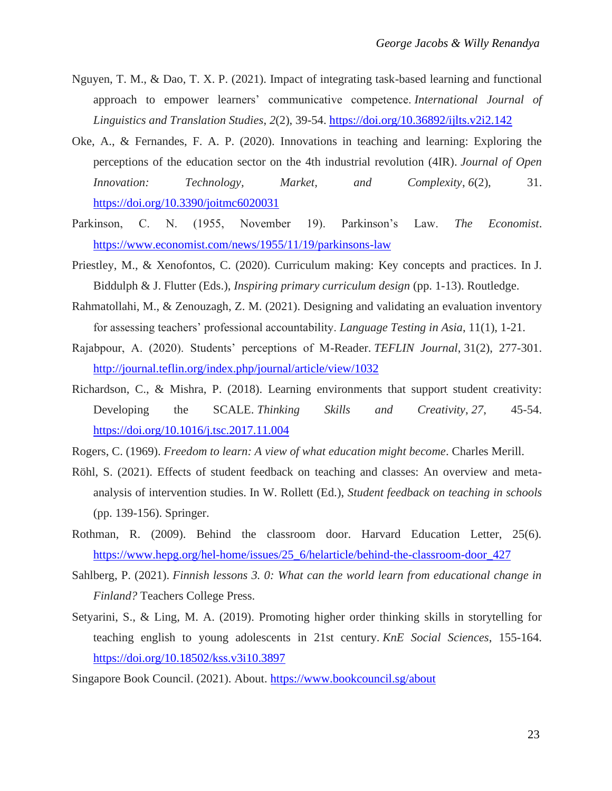- Nguyen, T. M., & Dao, T. X. P. (2021). Impact of integrating task-based learning and functional approach to empower learners' communicative competence. *International Journal of Linguistics and Translation Studies*, *2*(2), 39-54. <https://doi.org/10.36892/ijlts.v2i2.142>
- Oke, A., & Fernandes, F. A. P. (2020). Innovations in teaching and learning: Exploring the perceptions of the education sector on the 4th industrial revolution (4IR). *Journal of Open Innovation: Technology, Market, and Complexity*, *6*(2), 31. <https://doi.org/10.3390/joitmc6020031>
- Parkinson, C. N. (1955, November 19). Parkinson's Law. *The Economist*. <https://www.economist.com/news/1955/11/19/parkinsons-law>
- Priestley, M., & Xenofontos, C. (2020). Curriculum making: Key concepts and practices. In J. Biddulph & J. Flutter (Eds.), *Inspiring primary curriculum design* (pp. 1-13). Routledge.
- Rahmatollahi, M., & Zenouzagh, Z. M. (2021). Designing and validating an evaluation inventory for assessing teachers' professional accountability. *Language Testing in Asia*, 11(1), 1-21.
- Rajabpour, A. (2020). Students' perceptions of M-Reader. *TEFLIN Journal*, 31(2), 277-301. <http://journal.teflin.org/index.php/journal/article/view/1032>
- Richardson, C., & Mishra, P. (2018). Learning environments that support student creativity: Developing the SCALE. *Thinking Skills and Creativity*, *27*, 45-54. <https://doi.org/10.1016/j.tsc.2017.11.004>
- Rogers, C. (1969). *Freedom to learn: A view of what education might become*. Charles Merill.
- Röhl, S. (2021). Effects of student feedback on teaching and classes: An overview and metaanalysis of intervention studies. In W. Rollett (Ed.), *Student feedback on teaching in schools* (pp. 139-156). Springer.
- Rothman, R. (2009). Behind the classroom door. Harvard Education Letter, 25(6). [https://www.hepg.org/hel-home/issues/25\\_6/helarticle/behind-the-classroom-door\\_427](https://www.hepg.org/hel-home/issues/25_6/helarticle/behind-the-classroom-door_427)
- Sahlberg, P. (2021). *Finnish lessons 3. 0: What can the world learn from educational change in Finland?* Teachers College Press.
- Setyarini, S., & Ling, M. A. (2019). Promoting higher order thinking skills in storytelling for teaching english to young adolescents in 21st century. *KnE Social Sciences*, 155-164. <https://doi.org/10.18502/kss.v3i10.3897>

Singapore Book Council. (2021). About.<https://www.bookcouncil.sg/about>